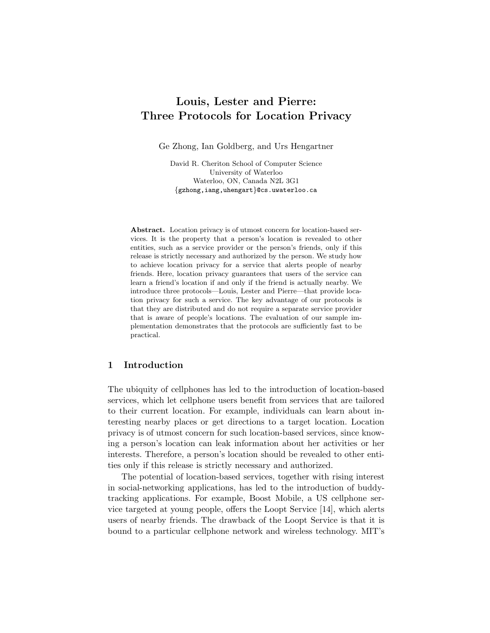# Louis, Lester and Pierre: Three Protocols for Location Privacy

Ge Zhong, Ian Goldberg, and Urs Hengartner

David R. Cheriton School of Computer Science University of Waterloo Waterloo, ON, Canada N2L 3G1 {gzhong,iang,uhengart}@cs.uwaterloo.ca

Abstract. Location privacy is of utmost concern for location-based services. It is the property that a person's location is revealed to other entities, such as a service provider or the person's friends, only if this release is strictly necessary and authorized by the person. We study how to achieve location privacy for a service that alerts people of nearby friends. Here, location privacy guarantees that users of the service can learn a friend's location if and only if the friend is actually nearby. We introduce three protocols—Louis, Lester and Pierre—that provide location privacy for such a service. The key advantage of our protocols is that they are distributed and do not require a separate service provider that is aware of people's locations. The evaluation of our sample implementation demonstrates that the protocols are sufficiently fast to be practical.

## 1 Introduction

The ubiquity of cellphones has led to the introduction of location-based services, which let cellphone users benefit from services that are tailored to their current location. For example, individuals can learn about interesting nearby places or get directions to a target location. Location privacy is of utmost concern for such location-based services, since knowing a person's location can leak information about her activities or her interests. Therefore, a person's location should be revealed to other entities only if this release is strictly necessary and authorized.

The potential of location-based services, together with rising interest in social-networking applications, has led to the introduction of buddytracking applications. For example, Boost Mobile, a US cellphone service targeted at young people, offers the Loopt Service [14], which alerts users of nearby friends. The drawback of the Loopt Service is that it is bound to a particular cellphone network and wireless technology. MIT's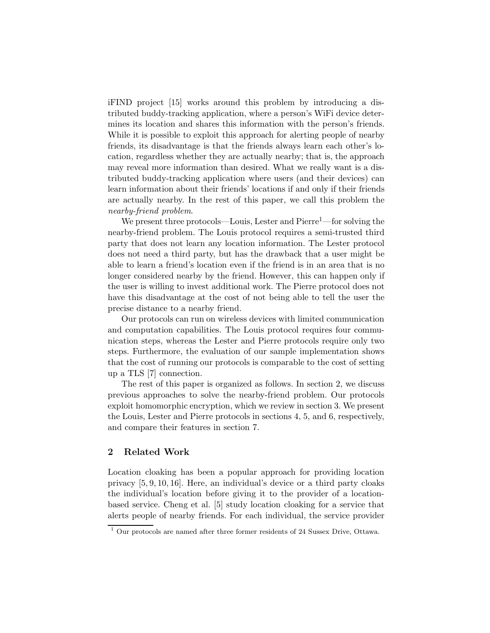iFIND project [15] works around this problem by introducing a distributed buddy-tracking application, where a person's WiFi device determines its location and shares this information with the person's friends. While it is possible to exploit this approach for alerting people of nearby friends, its disadvantage is that the friends always learn each other's location, regardless whether they are actually nearby; that is, the approach may reveal more information than desired. What we really want is a distributed buddy-tracking application where users (and their devices) can learn information about their friends' locations if and only if their friends are actually nearby. In the rest of this paper, we call this problem the nearby-friend problem.

We present three protocols—Louis, Lester and  $Pierre<sup>1</sup>$ —for solving the nearby-friend problem. The Louis protocol requires a semi-trusted third party that does not learn any location information. The Lester protocol does not need a third party, but has the drawback that a user might be able to learn a friend's location even if the friend is in an area that is no longer considered nearby by the friend. However, this can happen only if the user is willing to invest additional work. The Pierre protocol does not have this disadvantage at the cost of not being able to tell the user the precise distance to a nearby friend.

Our protocols can run on wireless devices with limited communication and computation capabilities. The Louis protocol requires four communication steps, whereas the Lester and Pierre protocols require only two steps. Furthermore, the evaluation of our sample implementation shows that the cost of running our protocols is comparable to the cost of setting up a TLS [7] connection.

The rest of this paper is organized as follows. In section 2, we discuss previous approaches to solve the nearby-friend problem. Our protocols exploit homomorphic encryption, which we review in section 3. We present the Louis, Lester and Pierre protocols in sections 4, 5, and 6, respectively, and compare their features in section 7.

# 2 Related Work

Location cloaking has been a popular approach for providing location privacy [5, 9, 10, 16]. Here, an individual's device or a third party cloaks the individual's location before giving it to the provider of a locationbased service. Cheng et al. [5] study location cloaking for a service that alerts people of nearby friends. For each individual, the service provider

<sup>1</sup> Our protocols are named after three former residents of 24 Sussex Drive, Ottawa.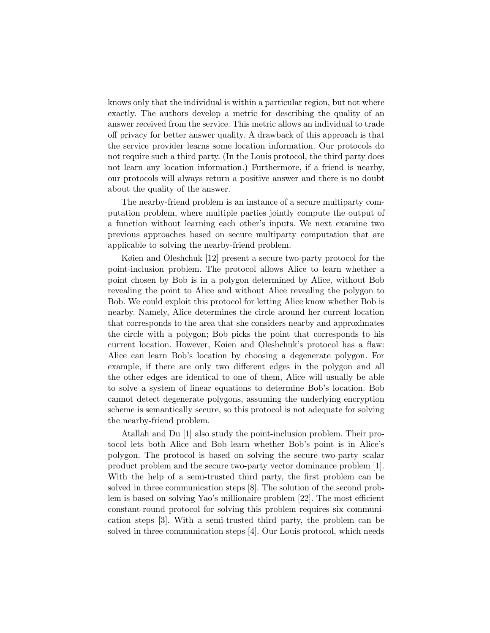knows only that the individual is within a particular region, but not where exactly. The authors develop a metric for describing the quality of an answer received from the service. This metric allows an individual to trade off privacy for better answer quality. A drawback of this approach is that the service provider learns some location information. Our protocols do not require such a third party. (In the Louis protocol, the third party does not learn any location information.) Furthermore, if a friend is nearby, our protocols will always return a positive answer and there is no doubt about the quality of the answer.

The nearby-friend problem is an instance of a secure multiparty computation problem, where multiple parties jointly compute the output of a function without learning each other's inputs. We next examine two previous approaches based on secure multiparty computation that are applicable to solving the nearby-friend problem.

Køien and Oleshchuk [12] present a secure two-party protocol for the point-inclusion problem. The protocol allows Alice to learn whether a point chosen by Bob is in a polygon determined by Alice, without Bob revealing the point to Alice and without Alice revealing the polygon to Bob. We could exploit this protocol for letting Alice know whether Bob is nearby. Namely, Alice determines the circle around her current location that corresponds to the area that she considers nearby and approximates the circle with a polygon; Bob picks the point that corresponds to his current location. However, Køien and Oleshchuk's protocol has a flaw: Alice can learn Bob's location by choosing a degenerate polygon. For example, if there are only two different edges in the polygon and all the other edges are identical to one of them, Alice will usually be able to solve a system of linear equations to determine Bob's location. Bob cannot detect degenerate polygons, assuming the underlying encryption scheme is semantically secure, so this protocol is not adequate for solving the nearby-friend problem.

Atallah and Du [1] also study the point-inclusion problem. Their protocol lets both Alice and Bob learn whether Bob's point is in Alice's polygon. The protocol is based on solving the secure two-party scalar product problem and the secure two-party vector dominance problem [1]. With the help of a semi-trusted third party, the first problem can be solved in three communication steps [8]. The solution of the second problem is based on solving Yao's millionaire problem [22]. The most efficient constant-round protocol for solving this problem requires six communication steps [3]. With a semi-trusted third party, the problem can be solved in three communication steps [4]. Our Louis protocol, which needs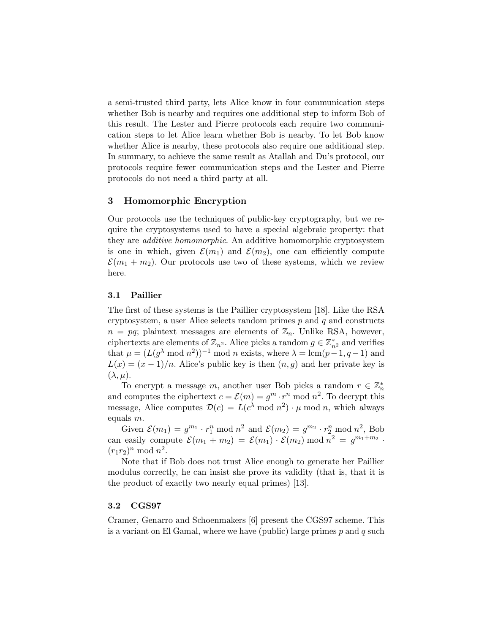a semi-trusted third party, lets Alice know in four communication steps whether Bob is nearby and requires one additional step to inform Bob of this result. The Lester and Pierre protocols each require two communication steps to let Alice learn whether Bob is nearby. To let Bob know whether Alice is nearby, these protocols also require one additional step. In summary, to achieve the same result as Atallah and Du's protocol, our protocols require fewer communication steps and the Lester and Pierre protocols do not need a third party at all.

## 3 Homomorphic Encryption

Our protocols use the techniques of public-key cryptography, but we require the cryptosystems used to have a special algebraic property: that they are additive homomorphic. An additive homomorphic cryptosystem is one in which, given  $\mathcal{E}(m_1)$  and  $\mathcal{E}(m_2)$ , one can efficiently compute  $\mathcal{E}(m_1 + m_2)$ . Our protocols use two of these systems, which we review here.

### 3.1 Paillier

The first of these systems is the Paillier cryptosystem [18]. Like the RSA cryptosystem, a user Alice selects random primes  $p$  and  $q$  and constructs  $n = pq$ ; plaintext messages are elements of  $\mathbb{Z}_n$ . Unlike RSA, however, ciphertexts are elements of  $\mathbb{Z}_{n^2}$ . Alice picks a random  $g \in \mathbb{Z}_{n^2}^*$  and verifies that  $\mu = (L(g^{\lambda} \mod n^2))^{-1} \mod n$  exists, where  $\lambda = \text{lcm}(p-1, q-1)$  and  $L(x) = (x - 1)/n$ . Alice's public key is then  $(n, g)$  and her private key is  $(\lambda, \mu)$ .

To encrypt a message m, another user Bob picks a random  $r \in \mathbb{Z}_n^*$ n and computes the ciphertext  $c = \mathcal{E}(m) = g^m \cdot r^n \mod n^2$ . To decrypt this message, Alice computes  $\mathcal{D}(c) = L(c^{\lambda} \mod n^2) \cdot \mu \mod n$ , which always equals m.

Given  $\mathcal{E}(m_1) = g^{m_1} \cdot r_1^n \mod n^2$  and  $\mathcal{E}(m_2) = g^{m_2} \cdot r_2^n \mod n^2$ , Bob can easily compute  $\mathcal{E}(m_1 + m_2) = \mathcal{E}(m_1) \cdot \mathcal{E}(m_2) \bmod n^2 = g^{m_1 + m_2}$ .  $(r_1r_2)^n \bmod n^2$ .

Note that if Bob does not trust Alice enough to generate her Paillier modulus correctly, he can insist she prove its validity (that is, that it is the product of exactly two nearly equal primes) [13].

## 3.2 CGS97

Cramer, Genarro and Schoenmakers [6] present the CGS97 scheme. This is a variant on El Gamal, where we have (public) large primes  $p$  and  $q$  such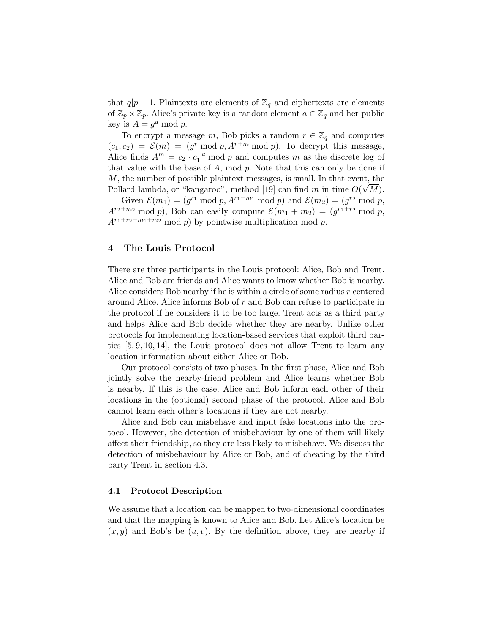that  $q|p-1$ . Plaintexts are elements of  $\mathbb{Z}_q$  and ciphertexts are elements of  $\mathbb{Z}_p \times \mathbb{Z}_p$ . Alice's private key is a random element  $a \in \mathbb{Z}_q$  and her public key is  $A = g^a \bmod p$ .

To encrypt a message m, Bob picks a random  $r \in \mathbb{Z}_q$  and computes  $(c_1, c_2) = \mathcal{E}(m) = (g^r \mod p, A^{r+m} \mod p).$  To decrypt this message, Alice finds  $A^m = c_2 \cdot c_1^{-a}$  mod p and computes m as the discrete log of that value with the base of  $A$ , mod  $p$ . Note that this can only be done if M, the number of possible plaintext messages, is small. In that event, the Pollard lambda, or "kangaroo", method [19] can find m in time  $O(\sqrt{M})$ .

Given  $\mathcal{E}(m_1) = (g^{r_1} \bmod p, A^{r_1+m_1} \bmod p)$  and  $\mathcal{E}(m_2) = (g^{r_2} \bmod p,$  $A^{r_2+m_2} \mod p$ , Bob can easily compute  $\mathcal{E}(m_1+m_2)=(g^{r_1+r_2} \mod p,$  $A^{r_1+r_2+m_1+m_2} \mod p$  by pointwise multiplication mod p.

### 4 The Louis Protocol

There are three participants in the Louis protocol: Alice, Bob and Trent. Alice and Bob are friends and Alice wants to know whether Bob is nearby. Alice considers Bob nearby if he is within a circle of some radius r centered around Alice. Alice informs Bob of r and Bob can refuse to participate in the protocol if he considers it to be too large. Trent acts as a third party and helps Alice and Bob decide whether they are nearby. Unlike other protocols for implementing location-based services that exploit third parties [5, 9, 10, 14], the Louis protocol does not allow Trent to learn any location information about either Alice or Bob.

Our protocol consists of two phases. In the first phase, Alice and Bob jointly solve the nearby-friend problem and Alice learns whether Bob is nearby. If this is the case, Alice and Bob inform each other of their locations in the (optional) second phase of the protocol. Alice and Bob cannot learn each other's locations if they are not nearby.

Alice and Bob can misbehave and input fake locations into the protocol. However, the detection of misbehaviour by one of them will likely affect their friendship, so they are less likely to misbehave. We discuss the detection of misbehaviour by Alice or Bob, and of cheating by the third party Trent in section 4.3.

#### 4.1 Protocol Description

We assume that a location can be mapped to two-dimensional coordinates and that the mapping is known to Alice and Bob. Let Alice's location be  $(x, y)$  and Bob's be  $(u, v)$ . By the definition above, they are nearby if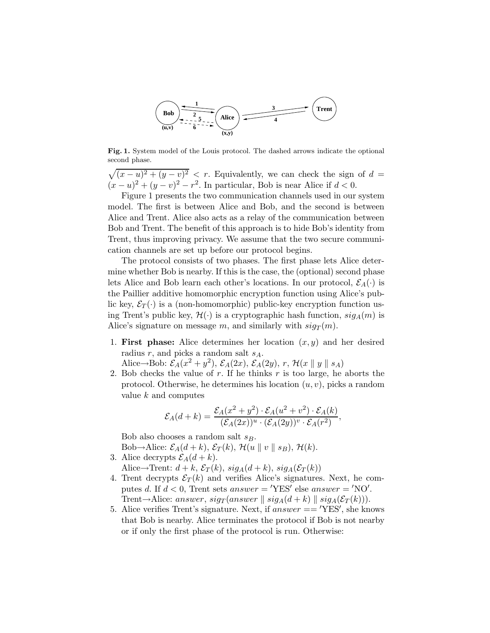

Fig. 1. System model of the Louis protocol. The dashed arrows indicate the optional second phase.

 $\sqrt{(x-u)^2+(y-v)^2}$  < r. Equivalently, we can check the sign of  $d=$  $(x - u)^2 + (y - v)^2 - r^2$ . In particular, Bob is near Alice if  $d < 0$ .

Figure 1 presents the two communication channels used in our system model. The first is between Alice and Bob, and the second is between Alice and Trent. Alice also acts as a relay of the communication between Bob and Trent. The benefit of this approach is to hide Bob's identity from Trent, thus improving privacy. We assume that the two secure communication channels are set up before our protocol begins.

The protocol consists of two phases. The first phase lets Alice determine whether Bob is nearby. If this is the case, the (optional) second phase lets Alice and Bob learn each other's locations. In our protocol,  $\mathcal{E}_A(\cdot)$  is the Paillier additive homomorphic encryption function using Alice's public key,  $\mathcal{E}_T(\cdot)$  is a (non-homomorphic) public-key encryption function using Trent's public key,  $\mathcal{H}(\cdot)$  is a cryptographic hash function,  $sig_A(m)$  is Alice's signature on message m, and similarly with  $sig_T(m)$ .

1. **First phase:** Alice determines her location  $(x, y)$  and her desired radius r, and picks a random salt  $s_A$ .

Alice $\rightarrow$ Bob:  $\mathcal{E}_A(x^2+y^2), \mathcal{E}_A(2x), \mathcal{E}_A(2y), r, \mathcal{H}(x \parallel y \parallel s_A)$ 

2. Bob checks the value of  $r$ . If he thinks  $r$  is too large, he aborts the protocol. Otherwise, he determines his location  $(u, v)$ , picks a random value k and computes

$$
\mathcal{E}_A(d+k) = \frac{\mathcal{E}_A(x^2+y^2) \cdot \mathcal{E}_A(u^2+v^2) \cdot \mathcal{E}_A(k)}{(\mathcal{E}_A(2x))^u \cdot (\mathcal{E}_A(2y))^v \cdot \mathcal{E}_A(r^2)},
$$

Bob also chooses a random salt  $s_B$ .

Bob→Alice:  $\mathcal{E}_A(d+k)$ ,  $\mathcal{E}_T(k)$ ,  $\mathcal{H}(u \parallel v \parallel s_B)$ ,  $\mathcal{H}(k)$ .

- 3. Alice decrypts  $\mathcal{E}_A(d+k)$ . Alice $\rightarrow$ Trent:  $d + k$ ,  $\mathcal{E}_T(k)$ ,  $sig_A(d + k)$ ,  $sig_A(\mathcal{E}_T(k))$
- 4. Trent decrypts  $\mathcal{E}_T(k)$  and verifies Alice's signatures. Next, he computes d. If  $d < 0$ , Trent sets answer = 'YES' else answer = 'NO'. Trent→Alice: answer,  $sig_T$ (answer  $\parallel sig_A(d + k) \parallel sig_A(\mathcal{E}_T(k))$ ).
- 5. Alice verifies Trent's signature. Next, if  $answer = -'YES'$ , she knows that Bob is nearby. Alice terminates the protocol if Bob is not nearby or if only the first phase of the protocol is run. Otherwise: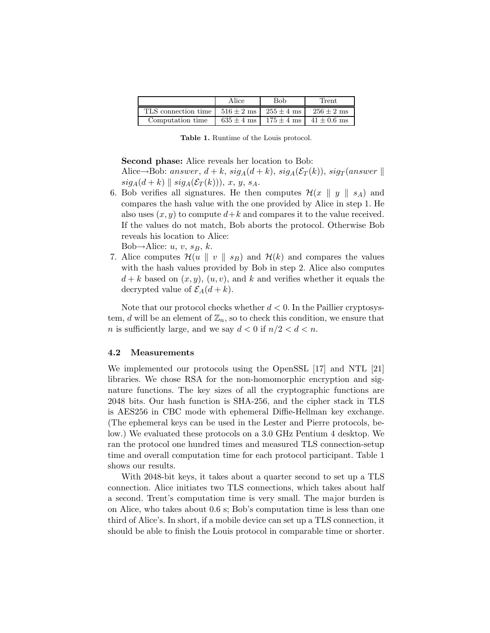|                                         | Alice        | Bob            | Trent                           |
|-----------------------------------------|--------------|----------------|---------------------------------|
| TLS connection time $1\,516 \pm 2$ ms 1 |              | $255 \pm 4$ ms | $256 \pm 2$ ms                  |
| Computation time                        | $635 + 4$ ms |                | $175 \pm 4$ ms $141 \pm 0.6$ ms |

Table 1. Runtime of the Louis protocol.

Second phase: Alice reveals her location to Bob:

Alice→Bob: answer,  $d + k$ ,  $sig_A(d + k)$ ,  $sig_A(\mathcal{E}_T(k))$ ,  $sig_T(answer \parallel$  $sig_A(d+k)$  ||  $sig_A(\mathcal{E}_T(k))$ ), x, y, s<sub>A</sub>.

6. Bob verifies all signatures. He then computes  $\mathcal{H}(x \parallel y \parallel s_A)$  and compares the hash value with the one provided by Alice in step 1. He also uses  $(x, y)$  to compute  $d+k$  and compares it to the value received. If the values do not match, Bob aborts the protocol. Otherwise Bob reveals his location to Alice: Bob $\rightarrow$ Alice: u, v, s<sub>B</sub>, k.

7. Alice computes  $\mathcal{H}(u \parallel v \parallel s_B)$  and  $\mathcal{H}(k)$  and compares the values with the hash values provided by Bob in step 2. Alice also computes  $d + k$  based on  $(x, y)$ ,  $(u, v)$ , and k and verifies whether it equals the decrypted value of  $\mathcal{E}_A(d+k)$ .

Note that our protocol checks whether  $d < 0$ . In the Paillier cryptosystem, d will be an element of  $\mathbb{Z}_n$ , so to check this condition, we ensure that *n* is sufficiently large, and we say  $d < 0$  if  $n/2 < d < n$ .

#### 4.2 Measurements

We implemented our protocols using the OpenSSL [17] and NTL [21] libraries. We chose RSA for the non-homomorphic encryption and signature functions. The key sizes of all the cryptographic functions are 2048 bits. Our hash function is SHA-256, and the cipher stack in TLS is AES256 in CBC mode with ephemeral Diffie-Hellman key exchange. (The ephemeral keys can be used in the Lester and Pierre protocols, below.) We evaluated these protocols on a 3.0 GHz Pentium 4 desktop. We ran the protocol one hundred times and measured TLS connection-setup time and overall computation time for each protocol participant. Table 1 shows our results.

With 2048-bit keys, it takes about a quarter second to set up a TLS connection. Alice initiates two TLS connections, which takes about half a second. Trent's computation time is very small. The major burden is on Alice, who takes about 0.6 s; Bob's computation time is less than one third of Alice's. In short, if a mobile device can set up a TLS connection, it should be able to finish the Louis protocol in comparable time or shorter.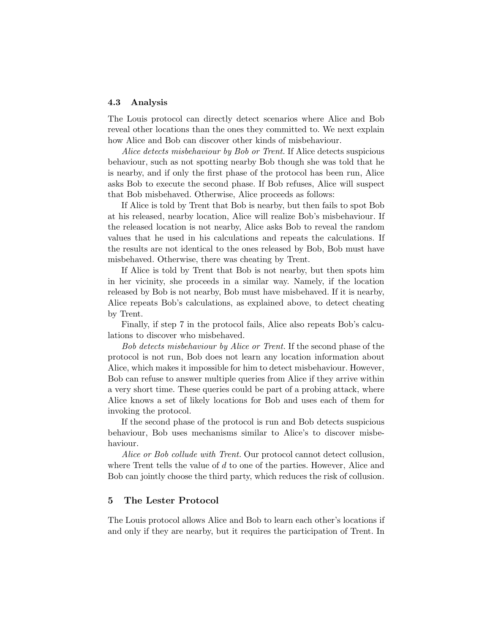### 4.3 Analysis

The Louis protocol can directly detect scenarios where Alice and Bob reveal other locations than the ones they committed to. We next explain how Alice and Bob can discover other kinds of misbehaviour.

Alice detects misbehaviour by Bob or Trent. If Alice detects suspicious behaviour, such as not spotting nearby Bob though she was told that he is nearby, and if only the first phase of the protocol has been run, Alice asks Bob to execute the second phase. If Bob refuses, Alice will suspect that Bob misbehaved. Otherwise, Alice proceeds as follows:

If Alice is told by Trent that Bob is nearby, but then fails to spot Bob at his released, nearby location, Alice will realize Bob's misbehaviour. If the released location is not nearby, Alice asks Bob to reveal the random values that he used in his calculations and repeats the calculations. If the results are not identical to the ones released by Bob, Bob must have misbehaved. Otherwise, there was cheating by Trent.

If Alice is told by Trent that Bob is not nearby, but then spots him in her vicinity, she proceeds in a similar way. Namely, if the location released by Bob is not nearby, Bob must have misbehaved. If it is nearby, Alice repeats Bob's calculations, as explained above, to detect cheating by Trent.

Finally, if step 7 in the protocol fails, Alice also repeats Bob's calculations to discover who misbehaved.

Bob detects misbehaviour by Alice or Trent. If the second phase of the protocol is not run, Bob does not learn any location information about Alice, which makes it impossible for him to detect misbehaviour. However, Bob can refuse to answer multiple queries from Alice if they arrive within a very short time. These queries could be part of a probing attack, where Alice knows a set of likely locations for Bob and uses each of them for invoking the protocol.

If the second phase of the protocol is run and Bob detects suspicious behaviour, Bob uses mechanisms similar to Alice's to discover misbehaviour.

Alice or Bob collude with Trent. Our protocol cannot detect collusion, where Trent tells the value of  $d$  to one of the parties. However, Alice and Bob can jointly choose the third party, which reduces the risk of collusion.

# 5 The Lester Protocol

The Louis protocol allows Alice and Bob to learn each other's locations if and only if they are nearby, but it requires the participation of Trent. In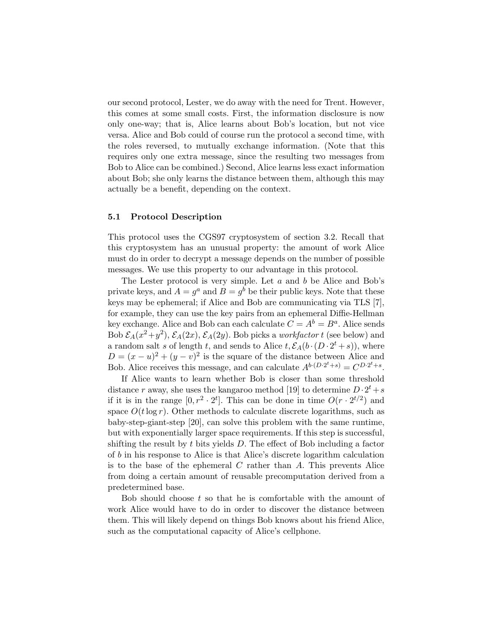our second protocol, Lester, we do away with the need for Trent. However, this comes at some small costs. First, the information disclosure is now only one-way; that is, Alice learns about Bob's location, but not vice versa. Alice and Bob could of course run the protocol a second time, with the roles reversed, to mutually exchange information. (Note that this requires only one extra message, since the resulting two messages from Bob to Alice can be combined.) Second, Alice learns less exact information about Bob; she only learns the distance between them, although this may actually be a benefit, depending on the context.

#### 5.1 Protocol Description

This protocol uses the CGS97 cryptosystem of section 3.2. Recall that this cryptosystem has an unusual property: the amount of work Alice must do in order to decrypt a message depends on the number of possible messages. We use this property to our advantage in this protocol.

The Lester protocol is very simple. Let a and b be Alice and Bob's private keys, and  $A = g^a$  and  $B = g^b$  be their public keys. Note that these keys may be ephemeral; if Alice and Bob are communicating via TLS [7], for example, they can use the key pairs from an ephemeral Diffie-Hellman key exchange. Alice and Bob can each calculate  $C = A^b = B^a$ . Alice sends Bob  $\mathcal{E}_A(x^2+y^2), \mathcal{E}_A(2x), \mathcal{E}_A(2y)$ . Bob picks a *workfactor t* (see below) and a random salt s of length t, and sends to Alice  $t, \mathcal{E}_A(b \cdot (D \cdot 2^t + s))$ , where  $D = (x - u)^2 + (y - v)^2$  is the square of the distance between Alice and Bob. Alice receives this message, and can calculate  $A^{b \cdot (D \cdot 2^t + s)} = C^{D \cdot 2^t + s}$ .

If Alice wants to learn whether Bob is closer than some threshold distance r away, she uses the kangaroo method [19] to determine  $D \cdot 2^t + s$ if it is in the range  $[0, r^2 \cdot 2^t]$ . This can be done in time  $O(r \cdot 2^{t/2})$  and space  $O(t \log r)$ . Other methods to calculate discrete logarithms, such as baby-step-giant-step [20], can solve this problem with the same runtime, but with exponentially larger space requirements. If this step is successful, shifting the result by  $t$  bits yields  $D$ . The effect of Bob including a factor of b in his response to Alice is that Alice's discrete logarithm calculation is to the base of the ephemeral  $C$  rather than  $A$ . This prevents Alice from doing a certain amount of reusable precomputation derived from a predetermined base.

Bob should choose  $t$  so that he is comfortable with the amount of work Alice would have to do in order to discover the distance between them. This will likely depend on things Bob knows about his friend Alice, such as the computational capacity of Alice's cellphone.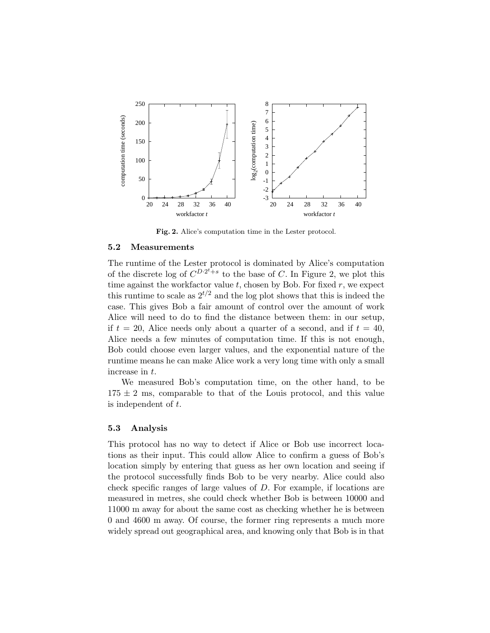

Fig. 2. Alice's computation time in the Lester protocol.

## 5.2 Measurements

The runtime of the Lester protocol is dominated by Alice's computation of the discrete log of  $C^{D\cdot 2^{t}+s}$  to the base of C. In Figure 2, we plot this time against the workfactor value  $t$ , chosen by Bob. For fixed  $r$ , we expect this runtime to scale as  $2^{t/2}$  and the log plot shows that this is indeed the case. This gives Bob a fair amount of control over the amount of work Alice will need to do to find the distance between them: in our setup, if  $t = 20$ , Alice needs only about a quarter of a second, and if  $t = 40$ , Alice needs a few minutes of computation time. If this is not enough, Bob could choose even larger values, and the exponential nature of the runtime means he can make Alice work a very long time with only a small increase in t.

We measured Bob's computation time, on the other hand, to be  $175 \pm 2$  ms, comparable to that of the Louis protocol, and this value is independent of t.

#### 5.3 Analysis

This protocol has no way to detect if Alice or Bob use incorrect locations as their input. This could allow Alice to confirm a guess of Bob's location simply by entering that guess as her own location and seeing if the protocol successfully finds Bob to be very nearby. Alice could also check specific ranges of large values of D. For example, if locations are measured in metres, she could check whether Bob is between 10000 and 11000 m away for about the same cost as checking whether he is between 0 and 4600 m away. Of course, the former ring represents a much more widely spread out geographical area, and knowing only that Bob is in that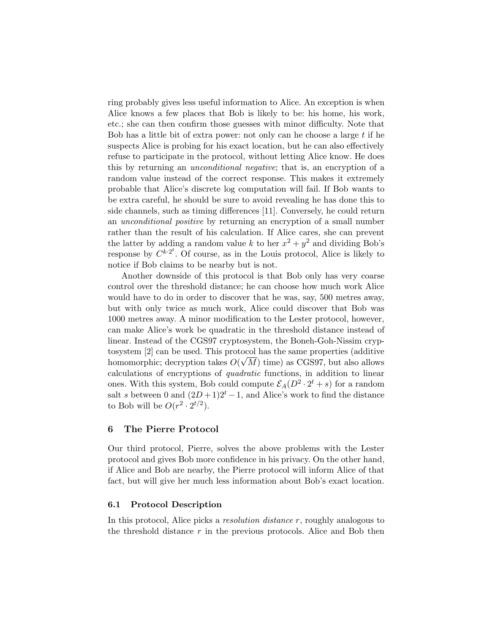ring probably gives less useful information to Alice. An exception is when Alice knows a few places that Bob is likely to be: his home, his work, etc.; she can then confirm those guesses with minor difficulty. Note that Bob has a little bit of extra power: not only can be choose a large  $t$  if he suspects Alice is probing for his exact location, but he can also effectively refuse to participate in the protocol, without letting Alice know. He does this by returning an unconditional negative; that is, an encryption of a random value instead of the correct response. This makes it extremely probable that Alice's discrete log computation will fail. If Bob wants to be extra careful, he should be sure to avoid revealing he has done this to side channels, such as timing differences [11]. Conversely, he could return an unconditional positive by returning an encryption of a small number rather than the result of his calculation. If Alice cares, she can prevent the latter by adding a random value k to her  $x^2 + y^2$  and dividing Bob's response by  $C^{k \cdot 2^t}$ . Of course, as in the Louis protocol, Alice is likely to notice if Bob claims to be nearby but is not.

Another downside of this protocol is that Bob only has very coarse control over the threshold distance; he can choose how much work Alice would have to do in order to discover that he was, say, 500 metres away, but with only twice as much work, Alice could discover that Bob was 1000 metres away. A minor modification to the Lester protocol, however, can make Alice's work be quadratic in the threshold distance instead of linear. Instead of the CGS97 cryptosystem, the Boneh-Goh-Nissim cryptosystem [2] can be used. This protocol has the same properties (additive homomorphic; decryption takes  $O(\sqrt{M})$  time) as CGS97, but also allows calculations of encryptions of quadratic functions, in addition to linear ones. With this system, Bob could compute  $\mathcal{E}_A(D^2 \cdot 2^t + s)$  for a random salt s between 0 and  $(2D+1)2<sup>t</sup> - 1$ , and Alice's work to find the distance to Bob will be  $O(r^2 \cdot 2^{t/2})$ .

# 6 The Pierre Protocol

Our third protocol, Pierre, solves the above problems with the Lester protocol and gives Bob more confidence in his privacy. On the other hand, if Alice and Bob are nearby, the Pierre protocol will inform Alice of that fact, but will give her much less information about Bob's exact location.

### 6.1 Protocol Description

In this protocol, Alice picks a *resolution distance r*, roughly analogous to the threshold distance  $r$  in the previous protocols. Alice and Bob then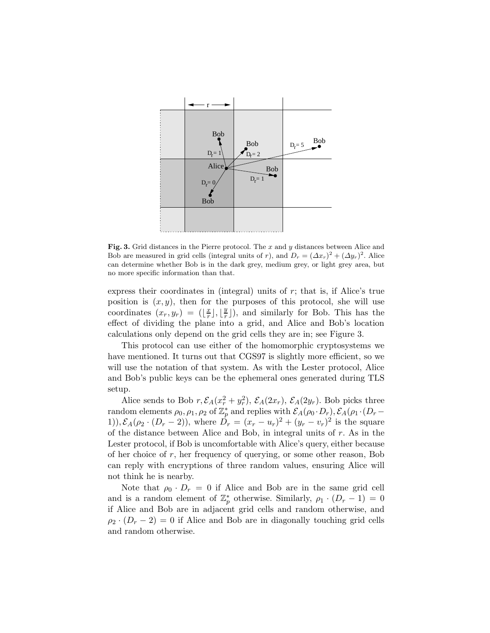

Fig. 3. Grid distances in the Pierre protocol. The  $x$  and  $y$  distances between Alice and Bob are measured in grid cells (integral units of r), and  $D_r = (\Delta x_r)^2 + (\Delta y_r)^2$ . Alice can determine whether Bob is in the dark grey, medium grey, or light grey area, but no more specific information than that.

express their coordinates in (integral) units of  $r$ ; that is, if Alice's true position is  $(x, y)$ , then for the purposes of this protocol, she will use coordinates  $(x_r, y_r) = (\lfloor \frac{x}{r} \rfloor)$  $\frac{x}{r}$ ],  $\lfloor \frac{y}{r} \rfloor$  $\frac{y}{r}$ ]), and similarly for Bob. This has the effect of dividing the plane into a grid, and Alice and Bob's location calculations only depend on the grid cells they are in; see Figure 3.

This protocol can use either of the homomorphic cryptosystems we have mentioned. It turns out that CGS97 is slightly more efficient, so we will use the notation of that system. As with the Lester protocol, Alice and Bob's public keys can be the ephemeral ones generated during TLS setup.

Alice sends to Bob  $r, \mathcal{E}_A(x_r^2 + y_r^2), \mathcal{E}_A(2x_r), \mathcal{E}_A(2y_r)$ . Bob picks three random elements  $\rho_0, \rho_1, \rho_2$  of  $\mathbb{Z}_p^*$ \* and replies with  $\mathcal{E}_A(\rho_0 \cdot D_r)$ ,  $\mathcal{E}_A(\rho_1 \cdot (D_r -$ 1),  $\mathcal{E}_A(\rho_2 \cdot (D_r - 2))$ , where  $\hat{D}_r = (x_r - u_r)^2 + (y_r - v_r)^2$  is the square of the distance between Alice and Bob, in integral units of  $r$ . As in the Lester protocol, if Bob is uncomfortable with Alice's query, either because of her choice of r, her frequency of querying, or some other reason, Bob can reply with encryptions of three random values, ensuring Alice will not think he is nearby.

Note that  $\rho_0 \cdot D_r = 0$  if Alice and Bob are in the same grid cell and is a random element of  $\mathbb{Z}_p^*$ \* otherwise. Similarly,  $\rho_1 \cdot (D_r - 1) = 0$ if Alice and Bob are in adjacent grid cells and random otherwise, and  $\rho_2 \cdot (D_r - 2) = 0$  if Alice and Bob are in diagonally touching grid cells and random otherwise.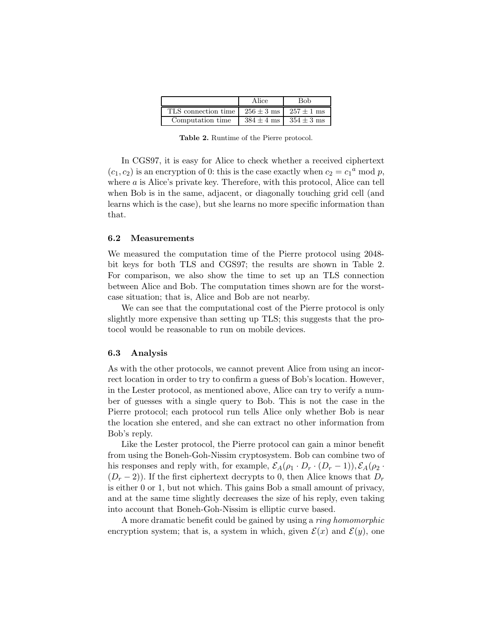|                     | Alice          | Bob            |  |
|---------------------|----------------|----------------|--|
| TLS connection time | $256 \pm 3$ ms | $257 + 1$ ms   |  |
| Computation time    | $384 \pm 4$ ms | $354 \pm 3$ ms |  |

Table 2. Runtime of the Pierre protocol.

In CGS97, it is easy for Alice to check whether a received ciphertext  $(c_1, c_2)$  is an encryption of 0: this is the case exactly when  $c_2 = c_1^a \mod p$ , where a is Alice's private key. Therefore, with this protocol, Alice can tell when Bob is in the same, adjacent, or diagonally touching grid cell (and learns which is the case), but she learns no more specific information than that.

#### 6.2 Measurements

We measured the computation time of the Pierre protocol using 2048 bit keys for both TLS and CGS97; the results are shown in Table 2. For comparison, we also show the time to set up an TLS connection between Alice and Bob. The computation times shown are for the worstcase situation; that is, Alice and Bob are not nearby.

We can see that the computational cost of the Pierre protocol is only slightly more expensive than setting up TLS; this suggests that the protocol would be reasonable to run on mobile devices.

#### 6.3 Analysis

As with the other protocols, we cannot prevent Alice from using an incorrect location in order to try to confirm a guess of Bob's location. However, in the Lester protocol, as mentioned above, Alice can try to verify a number of guesses with a single query to Bob. This is not the case in the Pierre protocol; each protocol run tells Alice only whether Bob is near the location she entered, and she can extract no other information from Bob's reply.

Like the Lester protocol, the Pierre protocol can gain a minor benefit from using the Boneh-Goh-Nissim cryptosystem. Bob can combine two of his responses and reply with, for example,  $\mathcal{E}_A(\rho_1 \cdot D_r \cdot (D_r - 1)), \mathcal{E}_A(\rho_2 \cdot$  $(D<sub>r</sub> - 2)$ ). If the first ciphertext decrypts to 0, then Alice knows that  $D<sub>r</sub>$ is either 0 or 1, but not which. This gains Bob a small amount of privacy, and at the same time slightly decreases the size of his reply, even taking into account that Boneh-Goh-Nissim is elliptic curve based.

A more dramatic benefit could be gained by using a ring homomorphic encryption system; that is, a system in which, given  $\mathcal{E}(x)$  and  $\mathcal{E}(y)$ , one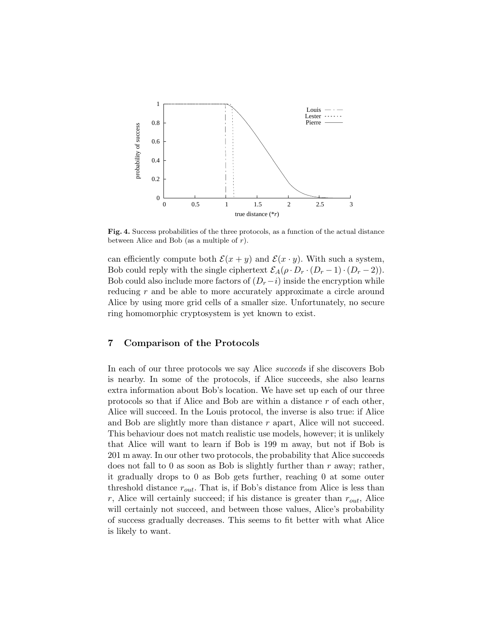

Fig. 4. Success probabilities of the three protocols, as a function of the actual distance between Alice and Bob (as a multiple of  $r$ ).

can efficiently compute both  $\mathcal{E}(x+y)$  and  $\mathcal{E}(x \cdot y)$ . With such a system, Bob could reply with the single ciphertext  $\mathcal{E}_A(\rho \cdot D_r \cdot (D_r - 1) \cdot (D_r - 2)).$ Bob could also include more factors of  $(D<sub>r</sub> - i)$  inside the encryption while reducing r and be able to more accurately approximate a circle around Alice by using more grid cells of a smaller size. Unfortunately, no secure ring homomorphic cryptosystem is yet known to exist.

# 7 Comparison of the Protocols

In each of our three protocols we say Alice *succeeds* if she discovers Bob is nearby. In some of the protocols, if Alice succeeds, she also learns extra information about Bob's location. We have set up each of our three protocols so that if Alice and Bob are within a distance r of each other, Alice will succeed. In the Louis protocol, the inverse is also true: if Alice and Bob are slightly more than distance r apart, Alice will not succeed. This behaviour does not match realistic use models, however; it is unlikely that Alice will want to learn if Bob is 199 m away, but not if Bob is 201 m away. In our other two protocols, the probability that Alice succeeds does not fall to 0 as soon as Bob is slightly further than  $r$  away; rather, it gradually drops to 0 as Bob gets further, reaching 0 at some outer threshold distance  $r_{out}$ . That is, if Bob's distance from Alice is less than r, Alice will certainly succeed; if his distance is greater than  $r_{out}$ , Alice will certainly not succeed, and between those values, Alice's probability of success gradually decreases. This seems to fit better with what Alice is likely to want.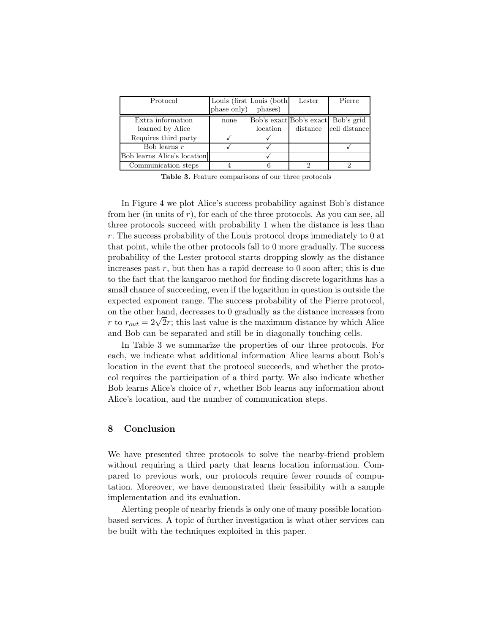| Protocol                    |                     | Louis (first Louis (both)          | Lester | Pierre                 |
|-----------------------------|---------------------|------------------------------------|--------|------------------------|
|                             | phase only) phases) |                                    |        |                        |
| Extra information           | none                | Bob's exact Bob's exact Bob's grid |        |                        |
| learned by Alice            |                     | $location$                         |        | distance cell distance |
| Requires third party        |                     |                                    |        |                        |
| Bob learns $r$              |                     |                                    |        |                        |
| Bob learns Alice's location |                     |                                    |        |                        |
| Communication steps         |                     |                                    |        |                        |

Table 3. Feature comparisons of our three protocols

In Figure 4 we plot Alice's success probability against Bob's distance from her (in units of  $r$ ), for each of the three protocols. As you can see, all three protocols succeed with probability 1 when the distance is less than r. The success probability of the Louis protocol drops immediately to 0 at that point, while the other protocols fall to 0 more gradually. The success probability of the Lester protocol starts dropping slowly as the distance increases past  $r$ , but then has a rapid decrease to 0 soon after; this is due to the fact that the kangaroo method for finding discrete logarithms has a small chance of succeeding, even if the logarithm in question is outside the expected exponent range. The success probability of the Pierre protocol, on the other hand, decreases to 0 gradually as the distance increases from r to  $r_{out} = 2\sqrt{2}r$ ; this last value is the maximum distance by which Alice and Bob can be separated and still be in diagonally touching cells.

In Table 3 we summarize the properties of our three protocols. For each, we indicate what additional information Alice learns about Bob's location in the event that the protocol succeeds, and whether the protocol requires the participation of a third party. We also indicate whether Bob learns Alice's choice of  $r$ , whether Bob learns any information about Alice's location, and the number of communication steps.

## 8 Conclusion

We have presented three protocols to solve the nearby-friend problem without requiring a third party that learns location information. Compared to previous work, our protocols require fewer rounds of computation. Moreover, we have demonstrated their feasibility with a sample implementation and its evaluation.

Alerting people of nearby friends is only one of many possible locationbased services. A topic of further investigation is what other services can be built with the techniques exploited in this paper.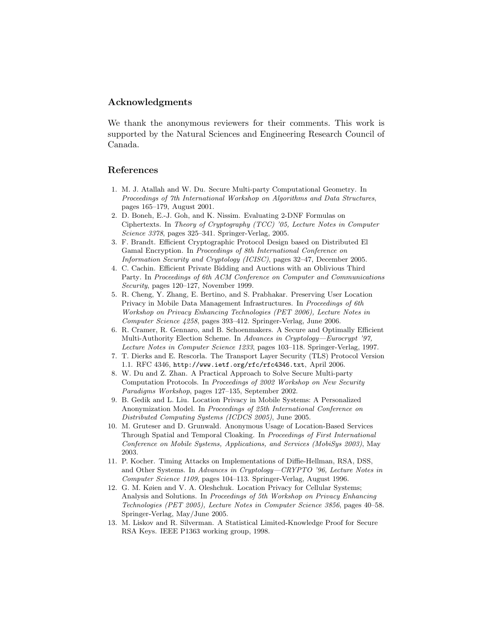# Acknowledgments

We thank the anonymous reviewers for their comments. This work is supported by the Natural Sciences and Engineering Research Council of Canada.

## References

- 1. M. J. Atallah and W. Du. Secure Multi-party Computational Geometry. In Proceedings of 7th International Workshop on Algorithms and Data Structures, pages 165–179, August 2001.
- 2. D. Boneh, E.-J. Goh, and K. Nissim. Evaluating 2-DNF Formulas on Ciphertexts. In Theory of Cryptography (TCC) '05, Lecture Notes in Computer Science 3378, pages 325–341. Springer-Verlag, 2005.
- 3. F. Brandt. Efficient Cryptographic Protocol Design based on Distributed El Gamal Encryption. In Proceedings of 8th International Conference on Information Security and Cryptology (ICISC), pages 32–47, December 2005.
- 4. C. Cachin. Efficient Private Bidding and Auctions with an Oblivious Third Party. In Proceedings of 6th ACM Conference on Computer and Communications Security, pages 120–127, November 1999.
- 5. R. Cheng, Y. Zhang, E. Bertino, and S. Prabhakar. Preserving User Location Privacy in Mobile Data Management Infrastructures. In Proceedings of 6th Workshop on Privacy Enhancing Technologies (PET 2006), Lecture Notes in Computer Science 4258, pages 393–412. Springer-Verlag, June 2006.
- 6. R. Cramer, R. Gennaro, and B. Schoenmakers. A Secure and Optimally Efficient Multi-Authority Election Scheme. In Advances in Cryptology—Eurocrypt '97, Lecture Notes in Computer Science 1233, pages 103–118. Springer-Verlag, 1997.
- 7. T. Dierks and E. Rescorla. The Transport Layer Security (TLS) Protocol Version 1.1. RFC 4346, http://www.ietf.org/rfc/rfc4346.txt, April 2006.
- 8. W. Du and Z. Zhan. A Practical Approach to Solve Secure Multi-party Computation Protocols. In Proceedings of 2002 Workshop on New Security Paradigms Workshop, pages 127–135, September 2002.
- 9. B. Gedik and L. Liu. Location Privacy in Mobile Systems: A Personalized Anonymization Model. In Proceedings of 25th International Conference on Distributed Computing Systems (ICDCS 2005), June 2005.
- 10. M. Gruteser and D. Grunwald. Anonymous Usage of Location-Based Services Through Spatial and Temporal Cloaking. In Proceedings of First International Conference on Mobile Systems, Applications, and Services (MobiSys 2003), May 2003.
- 11. P. Kocher. Timing Attacks on Implementations of Diffie-Hellman, RSA, DSS, and Other Systems. In Advances in Cryptology—CRYPTO '96, Lecture Notes in Computer Science 1109, pages 104–113. Springer-Verlag, August 1996.
- 12. G. M. Køien and V. A. Oleshchuk. Location Privacy for Cellular Systems; Analysis and Solutions. In Proceedings of 5th Workshop on Privacy Enhancing Technologies (PET 2005), Lecture Notes in Computer Science 3856, pages 40–58. Springer-Verlag, May/June 2005.
- 13. M. Liskov and R. Silverman. A Statistical Limited-Knowledge Proof for Secure RSA Keys. IEEE P1363 working group, 1998.